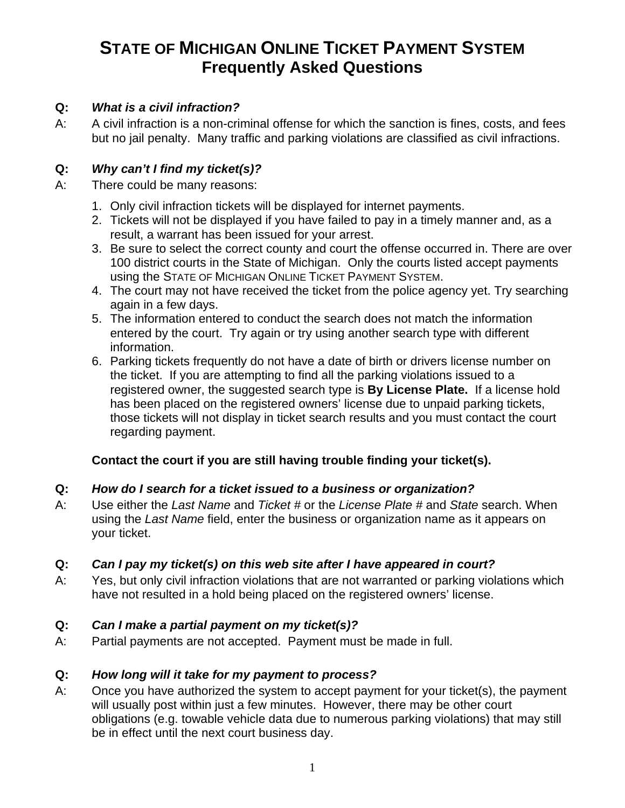# **STATE OF MICHIGAN ONLINE TICKET PAYMENT SYSTEM Frequently Asked Questions**

#### **Q:** *What is a civil infraction?*

A: A civil infraction is a non-criminal offense for which the sanction is fines, costs, and fees but no jail penalty. Many traffic and parking violations are classified as civil infractions.

## **Q:** *Why can't I find my ticket(s)?*

- A: There could be many reasons:
	- 1. Only civil infraction tickets will be displayed for internet payments.
	- 2. Tickets will not be displayed if you have failed to pay in a timely manner and, as a result, a warrant has been issued for your arrest.
	- 3. Be sure to select the correct county and court the offense occurred in. There are over 100 district courts in the State of Michigan. Only the courts listed accept payments using the STATE OF MICHIGAN ONLINE TICKET PAYMENT SYSTEM.
	- 4. The court may not have received the ticket from the police agency yet. Try searching again in a few days.
	- 5. The information entered to conduct the search does not match the information entered by the court. Try again or try using another search type with different information.
	- 6. Parking tickets frequently do not have a date of birth or drivers license number on the ticket. If you are attempting to find all the parking violations issued to a registered owner, the suggested search type is **By License Plate.** If a license hold has been placed on the registered owners' license due to unpaid parking tickets, those tickets will not display in ticket search results and you must contact the court regarding payment.

### **Contact the court if you are still having trouble finding your ticket(s).**

### **Q:** *How do I search for a ticket issued to a business or organization?*

A: Use either the *Last Name* and *Ticket #* or the *License Plate #* and *State* search. When using the *Last Name* field, enter the business or organization name as it appears on your ticket.

### **Q:** *Can I pay my ticket(s) on this web site after I have appeared in court?*

A: Yes, but only civil infraction violations that are not warranted or parking violations which have not resulted in a hold being placed on the registered owners' license.

### **Q:** *Can I make a partial payment on my ticket(s)?*

A: Partial payments are not accepted. Payment must be made in full.

### **Q:** *How long will it take for my payment to process?*

A: Once you have authorized the system to accept payment for your ticket(s), the payment will usually post within just a few minutes. However, there may be other court obligations (e.g. towable vehicle data due to numerous parking violations) that may still be in effect until the next court business day.